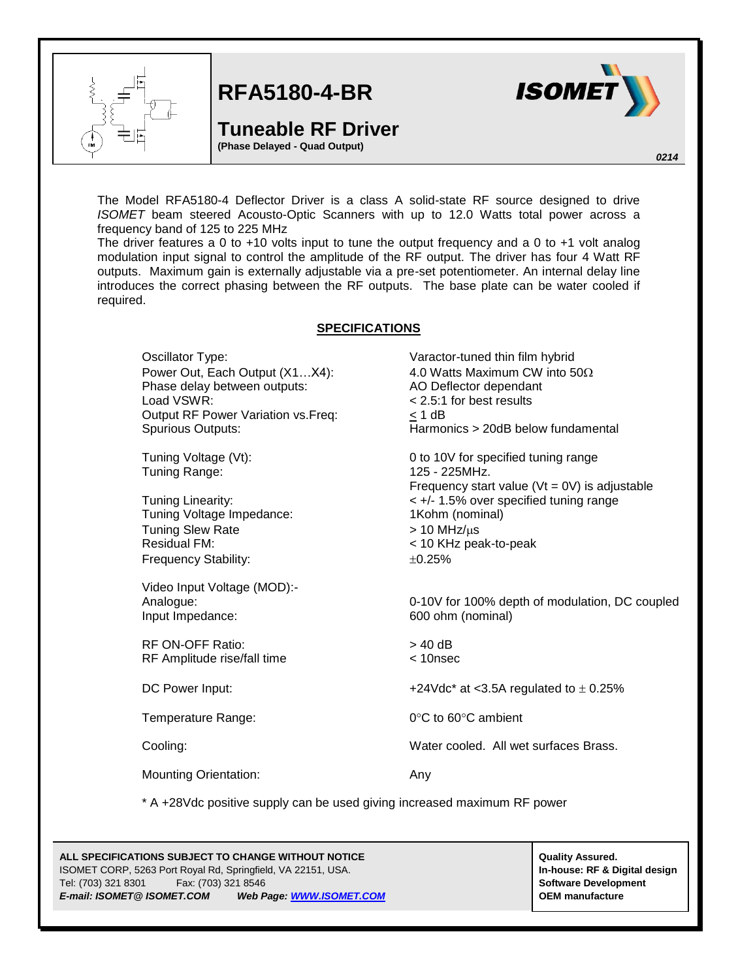

**RFA5180-4-BR**

## **Tuneable RF Driver**

**(Phase Delayed - Quad Output)**



*0214*

The Model RFA5180-4 Deflector Driver is a class A solid-state RF source designed to drive *ISOMET* beam steered Acousto-Optic Scanners with up to 12.0 Watts total power across a frequency band of 125 to 225 MHz

The driver features a 0 to +10 volts input to tune the output frequency and a 0 to +1 volt analog modulation input signal to control the amplitude of the RF output. The driver has four 4 Watt RF outputs. Maximum gain is externally adjustable via a pre-set potentiometer. An internal delay line introduces the correct phasing between the RF outputs. The base plate can be water cooled if required.

## **SPECIFICATIONS**

Oscillator Type: Varactor-tuned thin film hybrid Power Out, Each Output  $(X1...X4)$ : 4.0 Watts Maximum CW into  $50\Omega$ Phase delay between outputs: AO Deflector dependant Load VSWR: < 2.5:1 for best results Output RF Power Variation vs.Freq: < 1 dB

Tuning Range: 125 - 225MHz.

Tuning Voltage Impedance: 1Kohm (nominal) Tuning Slew Rate  $> 10$  MHz/ $\mu$ s Residual FM: < 10 KHz peak-to-peak Frequency Stability:  $\pm 0.25\%$ 

Video Input Voltage (MOD):- Input Impedance: 600 ohm (nominal)

RF ON-OFF Ratio:  $> 40$  dB RF Amplitude rise/fall time < 10nsec

Mounting Orientation: Any

\* A +28Vdc positive supply can be used giving increased maximum RF power

## **ALL SPECIFICATIONS SUBJECT TO CHANGE WITHOUT NOTICE ALL SPECIFICATIONS SUBJECT TO CHANGE WITHOUT NOTICE** ISOMET CORP, 5263 Port Royal Rd, Springfield, VA 22151, USA. **In-house: RF & Digital design** Tel: (703) 321 8301 Fax: (703) 321 8546 **Software Development** *E-mail: ISOMET@ ISOMET.COM Web Page[: WWW.ISOMET.COM](http://www.isomet.com/)* **OEM manufacture**

Spurious Outputs: Harmonics > 20dB below fundamental Tuning Voltage (Vt): 0 to 10V for specified tuning range Frequency start value ( $Vt = 0V$ ) is adjustable Tuning Linearity: < +/- 1.5% over specified tuning range

Analogue: 0-10V for 100% depth of modulation, DC coupled

DC Power Input:  $+24 \text{Vdc}^*$  at <3.5A regulated to  $\pm$  0.25%

Temperature Range: 0°C to 60°C ambient

Cooling: Water cooled. All wet surfaces Brass.